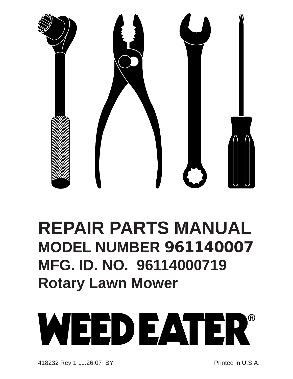

## **REPAIR PARTS MANUAL MODEL NUMBER 961140007 MFG. ID. NO. 96114000719 Rotary Lawn Mower**

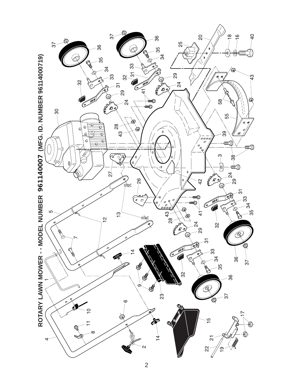

2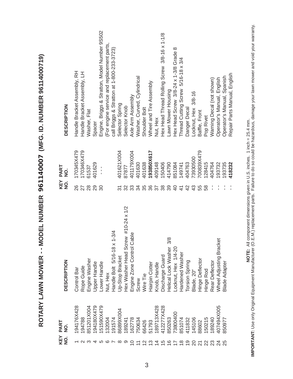| <b>DESCRIPTION</b>                    | Handle Bracket Assembly, RH | Handle Bracket Assembly, LH | Washer, Flat  | Spacer       | Engine, Briggs & Stratton, Model Number 9S502 | (For engine service and replacement parts, | call Briggs & Stratton at 1-800-233-3723) | Selector Spring  | Selector Knob                      | Axle Arm Assembly         | Washer, Curved, Cylindrical | Shoulder Bolt  | Wheel and Tire Assembly | Nut, Hex     | Hex Head Thread Rolling Screw 3/8-16 x 1-1/8 | Lawn Mower Housing         | Hex Head Screw 3/8-24 x 1-3/8 Grade 8 | Thread Cutting Screw 5/16-18 x 3/4 | Danger Decal   | Locknut, Hex 3/8-16 | Baffle, Front    | Pop Rivet    | Warning Decal (not shown) | Operator's Manual, English | Operator's Manual, Spanish | Repair Parts Manual, English |
|---------------------------------------|-----------------------------|-----------------------------|---------------|--------------|-----------------------------------------------|--------------------------------------------|-------------------------------------------|------------------|------------------------------------|---------------------------|-----------------------------|----------------|-------------------------|--------------|----------------------------------------------|----------------------------|---------------------------------------|------------------------------------|----------------|---------------------|------------------|--------------|---------------------------|----------------------------|----------------------------|------------------------------|
| PART<br>$\dot{Q}$<br>KEY<br>$\dot{2}$ | 170345X479<br>88            | 170346X479<br>27            | 61537<br>28   | 401629<br>29 | $\infty$                                      |                                            |                                           | 401621X004<br>31 | 87877<br>32                        | 401179X004<br>33          | 401630<br>34                | 401638<br>35   | 193850X617<br>36        | 409148       | 150406<br>38                                 | 414790<br>39               | 851084<br>$\overline{4}$              | 149741<br>$\ddot{t}$               | 404763<br>42   | 73930500<br>43      | 700839X479<br>55 | 128415<br>58 | 404764                    | 193732                     | 193735                     | 418232                       |
| <b>DESCRIPTION</b>                    | Control Bar                 | Rope Guide                  | Engine Washer | Jpper Handle | -ower Handle                                  | Nut, Hex                                   | $1 - 3/4$<br>Handle Bolt 5/16-18 x        | Up-Stop Bracket  | Hex Washer Head Screw #10-24 x 1/2 | Engine Zone Control Cable | Screw                       | Wire Tie       | Hairpin Cotter          | Knob, Handle | Discharge Guard                              | 3/8<br>Helical Lock Washer | Locknut, Hex 1/4-20                   | Hardened Washer                    | Torsion Spring | Blade, 20"          | Hinge Deflector  | Hinge Rod    | Rear Deflector            | Wheel Adjusting Bracket    | <b>Blade Adapter</b>       |                              |
| PART<br>NO.                           | 194176X428                  | 94788                       | 851201X004    | 194180X479   | 51590X479                                     | 132004                                     | 191574                                    | 86899X004        | 189241                             | 62778                     | 750634                      | 66426          | 51793                   | 189713X428   | 412277X428                                   | 850263                     | 73800400                              | 851074                             | 411832         | 145106              | 88602            | 50215        | 189240                    | 407494X005                 | 850977                     |                              |
| KEY<br>NO.                            |                             |                             |               |              |                                               |                                            |                                           |                  |                                    |                           |                             | $\overline{2}$ |                         |              |                                              |                            | $\circ$ $\sim$ $\infty$               |                                    | ္င             | 20                  |                  |              |                           |                            | 25                         |                              |

**ROTARY LAWN MOWER - - MODEL NUMBER 961140007 (MFG. ID. NUMBER 96114000719)**

ROTARY LAWN MOWER - - MODEL NUMBER 961140007 (MFG. ID. NUMBER 96114000719)

**IMPORTANT:** Use only Original Equipment Manufacturer (O.E.M.) replacement parts. Failure to do so could be hazardous, damage your lawn mower and void your warranty.<br>IMPORTANT: Use only Original Equipment Manufacturer (O.E **IMPORTANT:** Use only Original Equipment Manufacturer (O.E.M.) replacement parts. Failure to do so could be hazardous, damage your lawn mower and void your warranty.**NOTE:** All component dimensions given in U.S. inches. 1 inch = 25.4 mm.